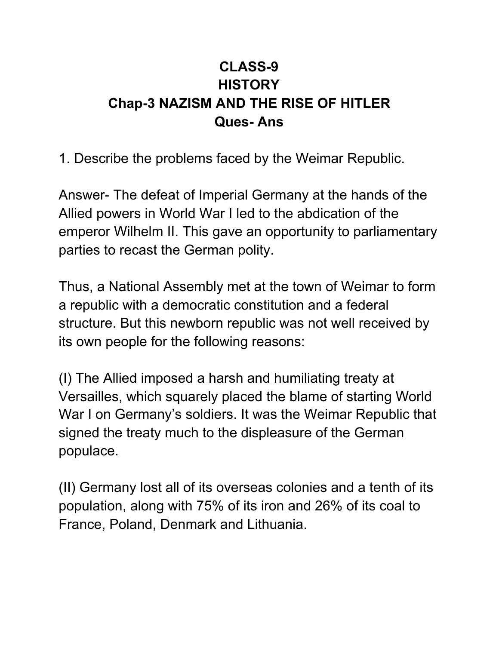## **CLASS-9 HISTORY Chap-3 NAZISM AND THE RISE OF HITLER Ques- Ans**

1. Describe the problems faced by the Weimar Republic.

Answer- The defeat of Imperial Germany at the hands of the Allied powers in World War I led to the abdication of the emperor Wilhelm II. This gave an opportunity to parliamentary parties to recast the German polity.

Thus, a National Assembly met at the town of Weimar to form a republic with a democratic constitution and a federal structure. But this newborn republic was not well received by its own people for the following reasons:

(I) The Allied imposed a harsh and humiliating treaty at Versailles, which squarely placed the blame of starting World War I on Germany's soldiers. It was the Weimar Republic that signed the treaty much to the displeasure of the German populace.

(II) Germany lost all of its overseas colonies and a tenth of its population, along with 75% of its iron and 26% of its coal to France, Poland, Denmark and Lithuania.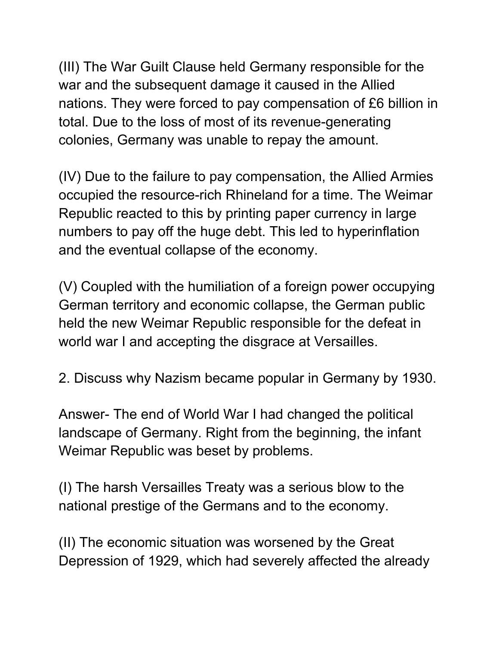(III) The War Guilt Clause held Germany responsible for the war and the subsequent damage it caused in the Allied nations. They were forced to pay compensation of £6 billion in total. Due to the loss of most of its revenue-generating colonies, Germany was unable to repay the amount.

(IV) Due to the failure to pay compensation, the Allied Armies occupied the resource-rich Rhineland for a time. The Weimar Republic reacted to this by printing paper currency in large numbers to pay off the huge debt. This led to hyperinflation and the eventual collapse of the economy.

(V) Coupled with the humiliation of a foreign power occupying German territory and economic collapse, the German public held the new Weimar Republic responsible for the defeat in world war I and accepting the disgrace at Versailles.

2. Discuss why Nazism became popular in Germany by 1930.

Answer- The end of World War I had changed the political landscape of Germany. Right from the beginning, the infant Weimar Republic was beset by problems.

(I) The harsh Versailles Treaty was a serious blow to the national prestige of the Germans and to the economy.

(II) The economic situation was worsened by the Great Depression of 1929, which had severely affected the already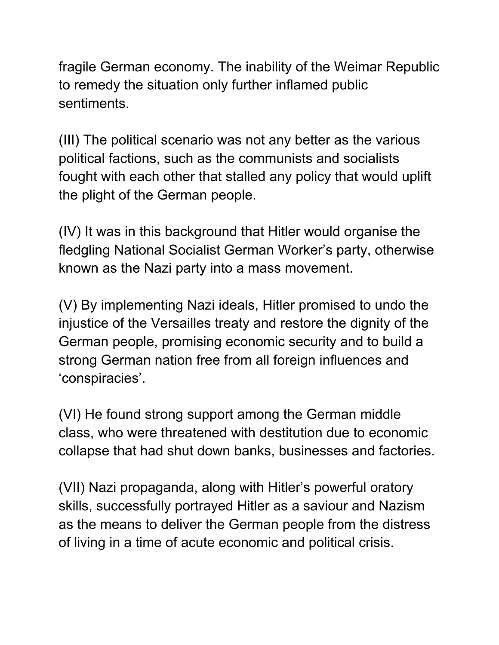fragile German economy. The inability of the Weimar Republic to remedy the situation only further inflamed public sentiments.

(III) The political scenario was not any better as the various political factions, such as the communists and socialists fought with each other that stalled any policy that would uplift the plight of the German people.

(IV) It was in this background that Hitler would organise the fledgling National Socialist German Worker's party, otherwise known as the Nazi party into a mass movement.

(V) By implementing Nazi ideals, Hitler promised to undo the injustice of the Versailles treaty and restore the dignity of the German people, promising economic security and to build a strong German nation free from all foreign influences and 'conspiracies'.

(VI) He found strong support among the German middle class, who were threatened with destitution due to economic collapse that had shut down banks, businesses and factories.

(VII) Nazi propaganda, along with Hitler's powerful oratory skills, successfully portrayed Hitler as a saviour and Nazism as the means to deliver the German people from the distress of living in a time of acute economic and political crisis.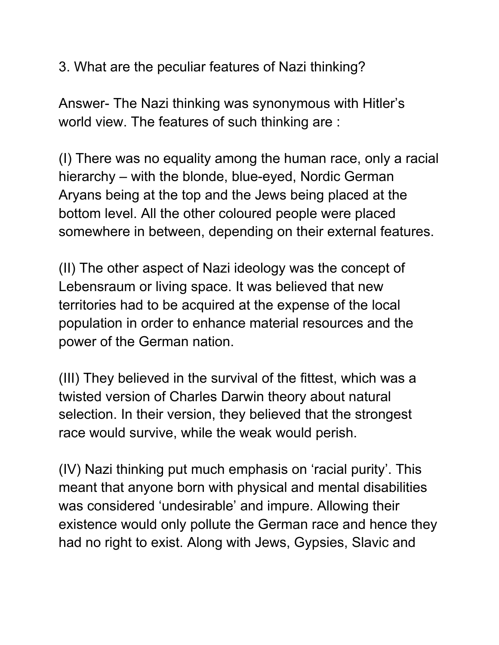3. What are the peculiar features of Nazi thinking?

Answer- The Nazi thinking was synonymous with Hitler's world view. The features of such thinking are :

(I) There was no equality among the human race, only a racial hierarchy – with the blonde, blue-eyed, Nordic German Aryans being at the top and the Jews being placed at the bottom level. All the other coloured people were placed somewhere in between, depending on their external features.

(II) The other aspect of Nazi ideology was the concept of Lebensraum or living space. It was believed that new territories had to be acquired at the expense of the local population in order to enhance material resources and the power of the German nation.

(III) They believed in the survival of the fittest, which was a twisted version of Charles Darwin theory about natural selection. In their version, they believed that the strongest race would survive, while the weak would perish.

(IV) Nazi thinking put much emphasis on 'racial purity'. This meant that anyone born with physical and mental disabilities was considered 'undesirable' and impure. Allowing their existence would only pollute the German race and hence they had no right to exist. Along with Jews, Gypsies, Slavic and